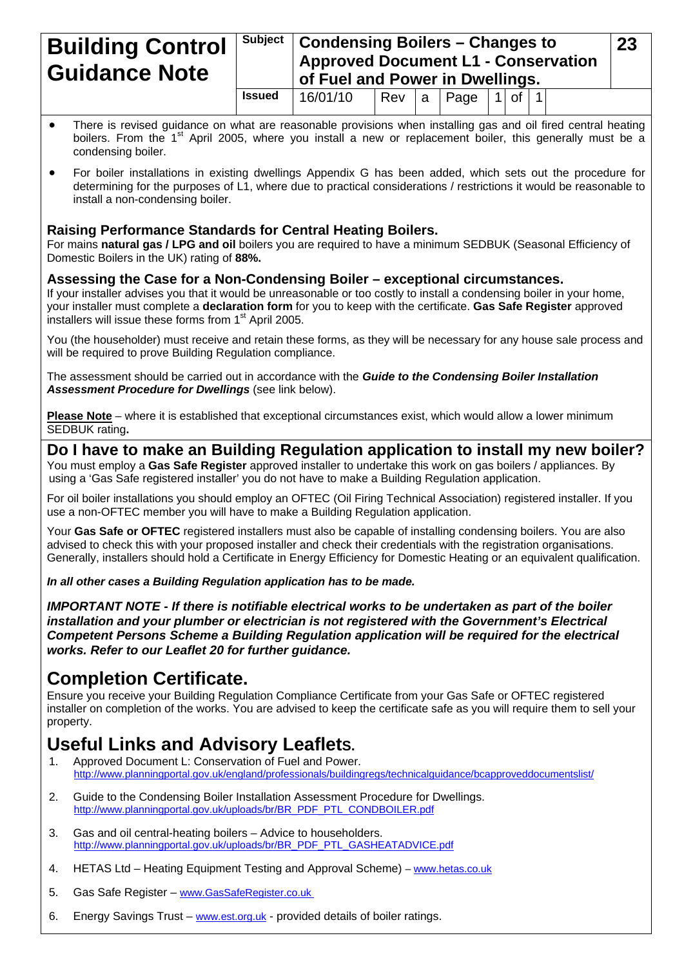| <b>Building Control</b><br><b>Guidance Note</b> |               |          | $\frac{1}{2}$ Subject   Condensing Boilers – Changes to<br><b>Approved Document L1 - Conservation</b><br>of Fuel and Power in Dwellings. |     |      |            |  |  |
|-------------------------------------------------|---------------|----------|------------------------------------------------------------------------------------------------------------------------------------------|-----|------|------------|--|--|
|                                                 | <b>Issued</b> | 16/01/10 | Rev                                                                                                                                      | l a | Page | $1$ of $1$ |  |  |

- There is revised guidance on what are reasonable provisions when installing gas and oil fired central heating boilers. From the 1<sup>st</sup> April 2005, where you install a new or replacement boiler, this generally must be a condensing boiler.
- For boiler installations in existing dwellings Appendix G has been added, which sets out the procedure for determining for the purposes of L1, where due to practical considerations / restrictions it would be reasonable to install a non-condensing boiler.

### **Raising Performance Standards for Central Heating Boilers.**

For mains **natural gas / LPG and oil** boilers you are required to have a minimum SEDBUK (Seasonal Efficiency of Domestic Boilers in the UK) rating of **88%.**

### **Assessing the Case for a Non-Condensing Boiler – exceptional circumstances.**

If your installer advises you that it would be unreasonable or too costly to install a condensing boiler in your home, your installer must complete a **declaration form** for you to keep with the certificate. **Gas Safe Register** approved installers will issue these forms from 1<sup>st</sup> April 2005.

You (the householder) must receive and retain these forms, as they will be necessary for any house sale process and will be required to prove Building Regulation compliance.

The assessment should be carried out in accordance with the *Guide to the Condensing Boiler Installation Assessment Procedure for Dwellings* (see link below).

**Please Note** – where it is established that exceptional circumstances exist, which would allow a lower minimum SEDBUK rating**.** 

**Do I have to make an Building Regulation application to install my new boiler?**

You must employ a **Gas Safe Register** approved installer to undertake this work on gas boilers / appliances. By using a 'Gas Safe registered installer' you do not have to make a Building Regulation application.

For oil boiler installations you should employ an OFTEC (Oil Firing Technical Association) registered installer. If you use a non-OFTEC member you will have to make a Building Regulation application.

Your **Gas Safe or OFTEC** registered installers must also be capable of installing condensing boilers. You are also advised to check this with your proposed installer and check their credentials with the registration organisations. Generally, installers should hold a Certificate in Energy Efficiency for Domestic Heating or an equivalent qualification.

*In all other cases a Building Regulation application has to be made.* 

*IMPORTANT NOTE - If there is notifiable electrical works to be undertaken as part of the boiler installation and your plumber or electrician is not registered with the Government's Electrical Competent Persons Scheme a Building Regulation application will be required for the electrical works. Refer to our Leaflet 20 for further guidance.* 

## **Completion Certificate.**

Ensure you receive your Building Regulation Compliance Certificate from your Gas Safe or OFTEC registered installer on completion of the works. You are advised to keep the certificate safe as you will require them to sell your property.

# **Useful Links and Advisory LeafletS.**

- 1. Approved Document L: Conservation of Fuel and Power. <http://www.planningportal.gov.uk/england/professionals/buildingregs/technicalguidance/bcapproveddocumentslist/>
- 2. Guide to the Condensing Boiler Installation Assessment Procedure for Dwellings. [http://www.planningportal.gov.uk/uploads/br/BR\\_PDF\\_PTL\\_CONDBOILER.pdf](http://www.planningportal.gov.uk/uploads/br/BR_PDF_PTL_CONDBOILER.pdf)
- 3. Gas and oil central-heating boilers Advice to householders. [http://www.planningportal.gov.uk/uploads/br/BR\\_PDF\\_PTL\\_GASHEATADVICE.pdf](http://www.planningportal.gov.uk/uploads/br/BR_PDF_PTL_GASHEATADVICE.pdf)
- 4. HETAS Ltd Heating Equipment Testing and Approval Scheme) – [www.hetas.co.uk](http://www.hetas.co.uk/)
- 5. Gas Safe Register [www.GasSafeRegister.co.uk](www.GasSafeRegister.co.uk%20)
- 6. Energy Savings Trust [www.est.org.uk](http://www.est.org.uk/)  provided details of boiler ratings.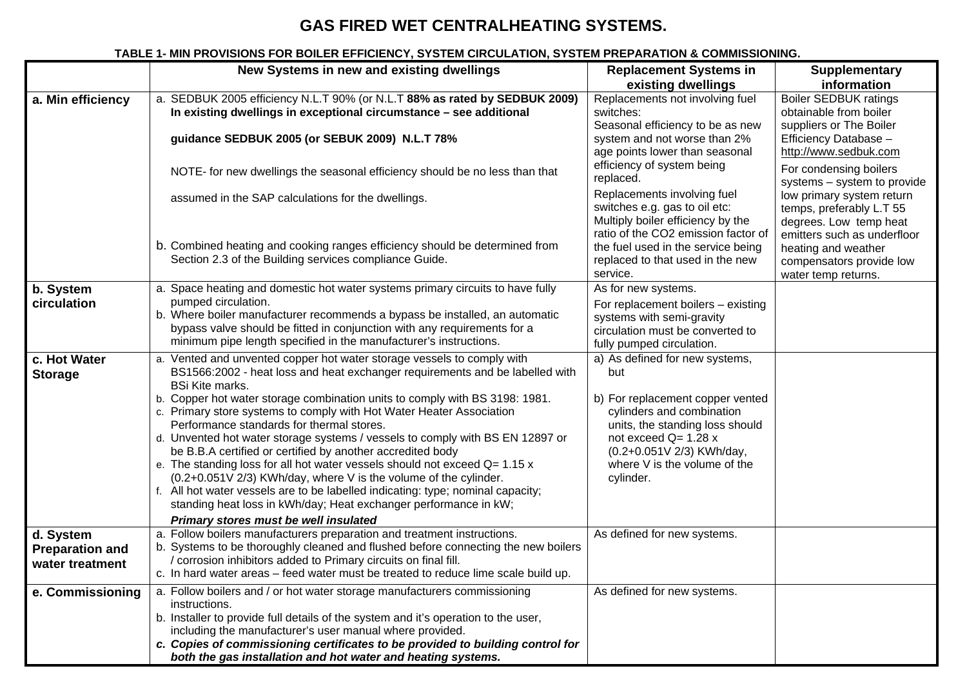### **GAS FIRED WET CENTRALHEATING SYSTEMS.**

### **TABLE 1- MIN PROVISIONS FOR BOILER EFFICIENCY, SYSTEM CIRCULATION, SYSTEM PREPARATION & COMMISSIONING.**

|                                                                       | New Systems in new and existing dwellings                                                                                                                                                                                                                                                                                                                                                                                                                                                                                                                                                                                                                                                                                                                                                                                                                                                                                                                                                                                                                | <b>Replacement Systems in</b>                                                                                                                                                                                                                                              | <b>Supplementary</b>                                                                                           |
|-----------------------------------------------------------------------|----------------------------------------------------------------------------------------------------------------------------------------------------------------------------------------------------------------------------------------------------------------------------------------------------------------------------------------------------------------------------------------------------------------------------------------------------------------------------------------------------------------------------------------------------------------------------------------------------------------------------------------------------------------------------------------------------------------------------------------------------------------------------------------------------------------------------------------------------------------------------------------------------------------------------------------------------------------------------------------------------------------------------------------------------------|----------------------------------------------------------------------------------------------------------------------------------------------------------------------------------------------------------------------------------------------------------------------------|----------------------------------------------------------------------------------------------------------------|
|                                                                       |                                                                                                                                                                                                                                                                                                                                                                                                                                                                                                                                                                                                                                                                                                                                                                                                                                                                                                                                                                                                                                                          | existing dwellings                                                                                                                                                                                                                                                         | information                                                                                                    |
| a. Min efficiency                                                     | a. SEDBUK 2005 efficiency N.L.T 90% (or N.L.T 88% as rated by SEDBUK 2009)<br>In existing dwellings in exceptional circumstance - see additional                                                                                                                                                                                                                                                                                                                                                                                                                                                                                                                                                                                                                                                                                                                                                                                                                                                                                                         | Replacements not involving fuel<br>switches:<br>Seasonal efficiency to be as new                                                                                                                                                                                           | <b>Boiler SEDBUK ratings</b><br>obtainable from boiler<br>suppliers or The Boiler                              |
|                                                                       | guidance SEDBUK 2005 (or SEBUK 2009) N.L.T 78%                                                                                                                                                                                                                                                                                                                                                                                                                                                                                                                                                                                                                                                                                                                                                                                                                                                                                                                                                                                                           | system and not worse than 2%<br>age points lower than seasonal                                                                                                                                                                                                             | Efficiency Database -<br>http://www.sedbuk.com                                                                 |
|                                                                       | NOTE- for new dwellings the seasonal efficiency should be no less than that                                                                                                                                                                                                                                                                                                                                                                                                                                                                                                                                                                                                                                                                                                                                                                                                                                                                                                                                                                              | efficiency of system being<br>replaced.                                                                                                                                                                                                                                    | For condensing boilers<br>systems - system to provide                                                          |
|                                                                       | assumed in the SAP calculations for the dwellings.                                                                                                                                                                                                                                                                                                                                                                                                                                                                                                                                                                                                                                                                                                                                                                                                                                                                                                                                                                                                       | Replacements involving fuel<br>switches e.g. gas to oil etc:<br>Multiply boiler efficiency by the<br>ratio of the CO2 emission factor of                                                                                                                                   | low primary system return<br>temps, preferably L.T 55<br>degrees. Low temp heat<br>emitters such as underfloor |
|                                                                       | b. Combined heating and cooking ranges efficiency should be determined from<br>Section 2.3 of the Building services compliance Guide.                                                                                                                                                                                                                                                                                                                                                                                                                                                                                                                                                                                                                                                                                                                                                                                                                                                                                                                    | the fuel used in the service being<br>replaced to that used in the new<br>service.                                                                                                                                                                                         | heating and weather<br>compensators provide low<br>water temp returns.                                         |
| b. System                                                             | a. Space heating and domestic hot water systems primary circuits to have fully                                                                                                                                                                                                                                                                                                                                                                                                                                                                                                                                                                                                                                                                                                                                                                                                                                                                                                                                                                           | As for new systems.                                                                                                                                                                                                                                                        |                                                                                                                |
| circulation                                                           | pumped circulation.<br>b. Where boiler manufacturer recommends a bypass be installed, an automatic<br>bypass valve should be fitted in conjunction with any requirements for a<br>minimum pipe length specified in the manufacturer's instructions.                                                                                                                                                                                                                                                                                                                                                                                                                                                                                                                                                                                                                                                                                                                                                                                                      | For replacement boilers - existing<br>systems with semi-gravity<br>circulation must be converted to<br>fully pumped circulation.                                                                                                                                           |                                                                                                                |
| c. Hot Water<br><b>Storage</b><br>d. System<br><b>Preparation and</b> | a. Vented and unvented copper hot water storage vessels to comply with<br>BS1566:2002 - heat loss and heat exchanger requirements and be labelled with<br><b>BSi Kite marks.</b><br>b. Copper hot water storage combination units to comply with BS 3198: 1981.<br>c. Primary store systems to comply with Hot Water Heater Association<br>Performance standards for thermal stores.<br>d. Unvented hot water storage systems / vessels to comply with BS EN 12897 or<br>be B.B.A certified or certified by another accredited body<br>e. The standing loss for all hot water vessels should not exceed $Q = 1.15 x$<br>(0.2+0.051V 2/3) KWh/day, where V is the volume of the cylinder.<br>f. All hot water vessels are to be labelled indicating: type; nominal capacity;<br>standing heat loss in kWh/day; Heat exchanger performance in kW;<br>Primary stores must be well insulated<br>a. Follow boilers manufacturers preparation and treatment instructions.<br>b. Systems to be thoroughly cleaned and flushed before connecting the new boilers | a) As defined for new systems,<br>but<br>b) For replacement copper vented<br>cylinders and combination<br>units, the standing loss should<br>not exceed $Q=1.28x$<br>(0.2+0.051V 2/3) KWh/day,<br>where V is the volume of the<br>cylinder.<br>As defined for new systems. |                                                                                                                |
| water treatment                                                       | / corrosion inhibitors added to Primary circuits on final fill.<br>c. In hard water areas – feed water must be treated to reduce lime scale build up.                                                                                                                                                                                                                                                                                                                                                                                                                                                                                                                                                                                                                                                                                                                                                                                                                                                                                                    |                                                                                                                                                                                                                                                                            |                                                                                                                |
| e. Commissioning                                                      | a. Follow boilers and / or hot water storage manufacturers commissioning<br>instructions.<br>b. Installer to provide full details of the system and it's operation to the user,<br>including the manufacturer's user manual where provided.<br>c. Copies of commissioning certificates to be provided to building control for<br>both the gas installation and hot water and heating systems.                                                                                                                                                                                                                                                                                                                                                                                                                                                                                                                                                                                                                                                            | As defined for new systems.                                                                                                                                                                                                                                                |                                                                                                                |